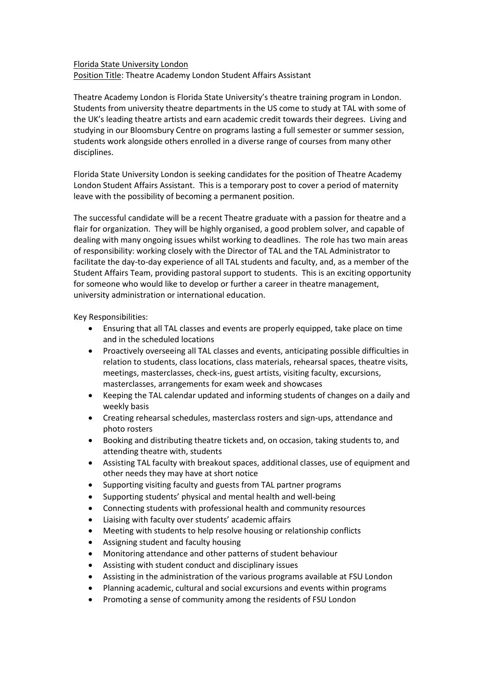## Florida State University London

Position Title: Theatre Academy London Student Affairs Assistant

Theatre Academy London is Florida State University's theatre training program in London. Students from university theatre departments in the US come to study at TAL with some of the UK's leading theatre artists and earn academic credit towards their degrees. Living and studying in our Bloomsbury Centre on programs lasting a full semester or summer session, students work alongside others enrolled in a diverse range of courses from many other disciplines.

Florida State University London is seeking candidates for the position of Theatre Academy London Student Affairs Assistant. This is a temporary post to cover a period of maternity leave with the possibility of becoming a permanent position.

The successful candidate will be a recent Theatre graduate with a passion for theatre and a flair for organization. They will be highly organised, a good problem solver, and capable of dealing with many ongoing issues whilst working to deadlines. The role has two main areas of responsibility: working closely with the Director of TAL and the TAL Administrator to facilitate the day-to-day experience of all TAL students and faculty, and, as a member of the Student Affairs Team, providing pastoral support to students. This is an exciting opportunity for someone who would like to develop or further a career in theatre management, university administration or international education.

Key Responsibilities:

- Ensuring that all TAL classes and events are properly equipped, take place on time and in the scheduled locations
- Proactively overseeing all TAL classes and events, anticipating possible difficulties in relation to students, class locations, class materials, rehearsal spaces, theatre visits, meetings, masterclasses, check-ins, guest artists, visiting faculty, excursions, masterclasses, arrangements for exam week and showcases
- Keeping the TAL calendar updated and informing students of changes on a daily and weekly basis
- Creating rehearsal schedules, masterclass rosters and sign-ups, attendance and photo rosters
- Booking and distributing theatre tickets and, on occasion, taking students to, and attending theatre with, students
- Assisting TAL faculty with breakout spaces, additional classes, use of equipment and other needs they may have at short notice
- Supporting visiting faculty and guests from TAL partner programs
- Supporting students' physical and mental health and well-being
- Connecting students with professional health and community resources
- Liaising with faculty over students' academic affairs
- Meeting with students to help resolve housing or relationship conflicts
- Assigning student and faculty housing
- Monitoring attendance and other patterns of student behaviour
- Assisting with student conduct and disciplinary issues
- Assisting in the administration of the various programs available at FSU London
- Planning academic, cultural and social excursions and events within programs
- Promoting a sense of community among the residents of FSU London